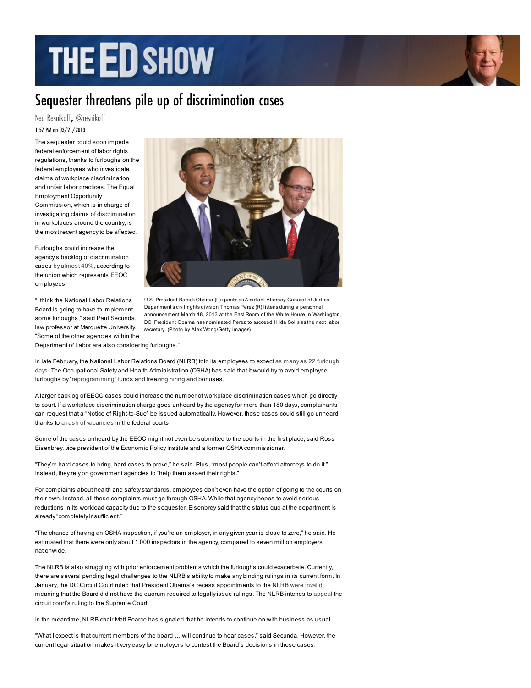# THE ED SHOW

## Sequester threatens pile up of discrimination cases

Ned [Resnikoff](http://tv.msnbc.com/author/resnikoff/), [@resnikoff](http://twitter.com/resnikoff) 1:57 PM on 03/21/2013

The sequester could soon impede federal enforcement of labor rights regulations, thanks to furloughs on the federal employees who investigate claims of workplace discrimination and unfair labor practices. The Equal Employment Opportunity Commission, which is in charge of investigating claims of discrimination in workplaces around the country, is the most recent agency to be affected.

Furloughs could increase the agency's backlog of discrimination cases by [almost](http://www.washingtonpost.com/blogs/federal-eye/wp/2013/03/21/equal-employment-opportunity-commission-faces-furloughs-if-sequester-continues/?wprss=rss_politics) 40%, according to the union which represents EEOC employees.

"I think the National Labor Relations Board is going to have to implement some furloughs," said Paul Secunda, law professor at Marquette University. "Some of the other agencies within the



U.S. President Barack Obama (L) speaks as Assistant Attomey General of Justice Department's civil rights division Thomas Perez (R) listens during a personnel announcement March 18, 2013 at the East Room of the White House in Washington, DC. President Obama has nominated Perez to succeed Hilda Solis as the next labor secretary. (Photo by Alex Wong/Getty Images)

Department of Labor are also considering furloughs."

In late February, the National Labor Relations Board (NLRB) told its employees to expect as many as 22 furlough days. The Occupational Safety and Health [Administration](http://www.washingtonpost.com/blogs/federal-eye/wp/2013/03/01/two-agencies-send-early-bird-furlough-notices/) (OSHA) has said that it would try to avoid employee furloughs by "[reprogramming"](http://www.govexec.com/pay-benefits/2013/02/osha-will-not-furlough-employees/61567/) funds and freezing hiring and bonuses.

A larger backlog of EEOC cases could increase the number of workplace discrimination cases which go directly to court. If a workplace discrimination charge goes unheard by the agency for more than 180 days, complainants can request that a "Notice of Right-to-Sue" be issued automatically. However, those cases could still go unheard thanks to a rash of [vacancies](http://bostonglobe.com/news/nation/2013/03/10/obama-senate-collide-gridlock-hits-federal-courts/zQVtUmOSol9sHre7OuX3MP/story.html) in the federal courts.

Some of the cases unheard by the EEOC might not even be submitted to the courts in the first place, said Ross Eisenbrey, vice president of the Economic Policy Institute and a former OSHA commissioner.

"They're hard cases to bring, hard cases to prove," he said. Plus, "most people can't afford attorneys to do it." Instead, they rely on government agencies to "help them assert their rights."

For complaints about health and safety standards, employees don't even have the option of going to the courts on their own. Instead, all those complaints must go through OSHA. While that agency hopes to avoid serious reductions in its workload capacity due to the sequester, Eisenbrey said that the status quo at the department is already "completely insufficient."

"The chance of having an OSHA inspection, if you're an employer, in any given year is close to zero," he said. He estimated that there were only about 1,000 inspectors in the agency, compared to seven million employers nationwide.

The NLRB is also struggling with prior enforcement problems which the furloughs could exacerbate. Currently, there are several pending legal challenges to the NLRB's ability to make any binding rulings in its current form. In January, the DC Circuit Court ruled that President Obama's recess appointments to the NLRB were [invalid](http://www.thenation.com/blog/173158/did-dc-circuit-court-give-green-light-union-busting), meaning that the Board did not have the quorum required to legally issue rulings. The NLRB intends to [appeal](http://www.nlrb.gov/news-outreach/news-releases/nlrb-seek-supreme-court-review-noel-canning-v-nlrb) the circuit court's ruling to the Supreme Court.

In the meantime, NLRB chair Matt Pearce has signaled that he intends to continue on with business as usual.

"What I expect is that current members of the board … will continue to hear cases," said Secunda. However, the current legal situation makes it very easy for employers to contest the Board's decisions in those cases.